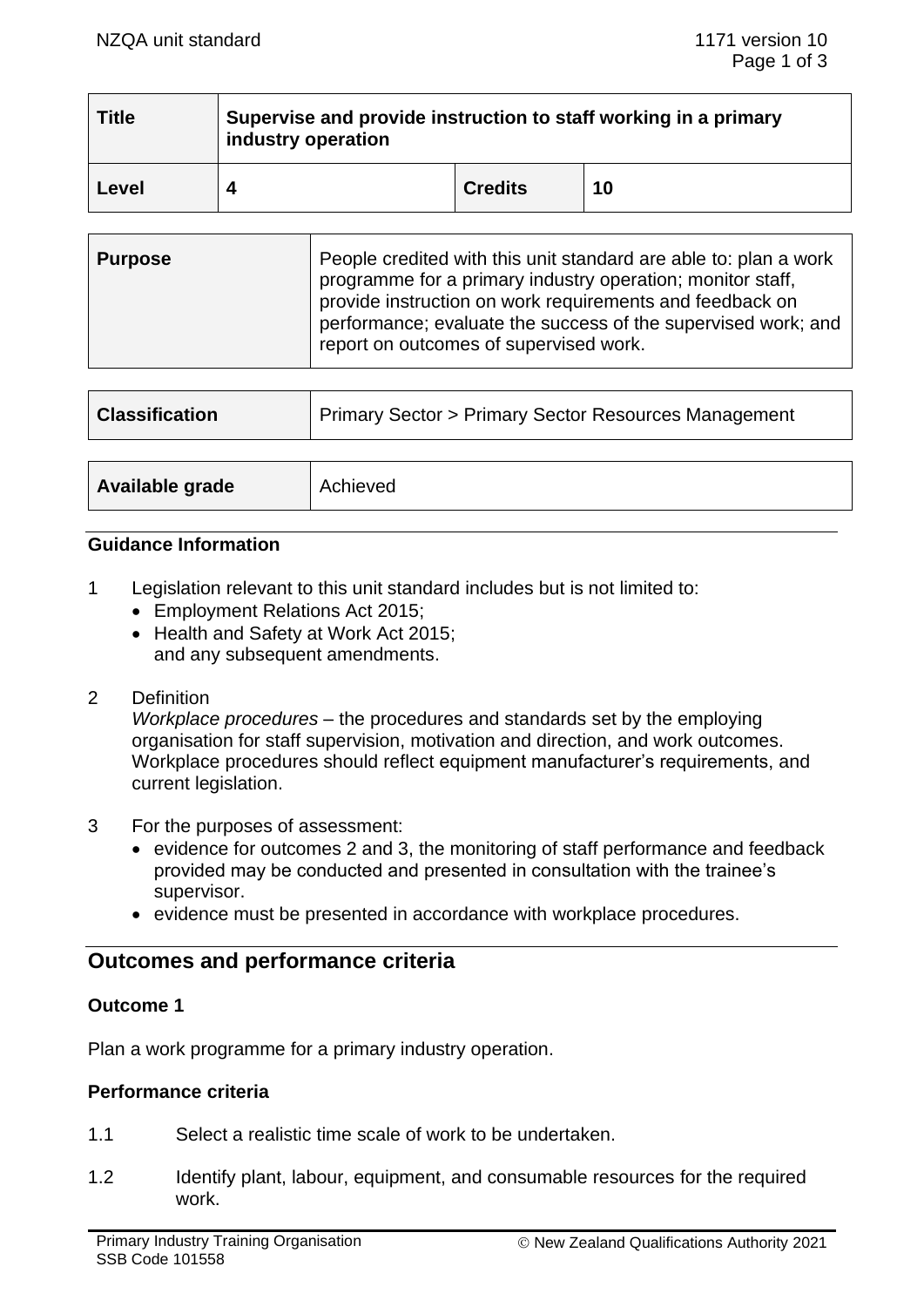| <b>Title</b> | Supervise and provide instruction to staff working in a primary<br>industry operation |                |    |
|--------------|---------------------------------------------------------------------------------------|----------------|----|
| Level        |                                                                                       | <b>Credits</b> | 10 |

| <b>Purpose</b> | People credited with this unit standard are able to: plan a work<br>programme for a primary industry operation; monitor staff,<br>provide instruction on work requirements and feedback on<br>performance; evaluate the success of the supervised work; and<br>report on outcomes of supervised work. |
|----------------|-------------------------------------------------------------------------------------------------------------------------------------------------------------------------------------------------------------------------------------------------------------------------------------------------------|
|----------------|-------------------------------------------------------------------------------------------------------------------------------------------------------------------------------------------------------------------------------------------------------------------------------------------------------|

| <b>Classification</b> | <b>Primary Sector &gt; Primary Sector Resources Management</b> |  |
|-----------------------|----------------------------------------------------------------|--|
| Available grade       | Achieved                                                       |  |

### **Guidance Information**

- 1 Legislation relevant to this unit standard includes but is not limited to:
	- Employment Relations Act 2015;
	- Health and Safety at Work Act 2015; and any subsequent amendments.
- 2 Definition

*Workplace procedures* – the procedures and standards set by the employing organisation for staff supervision, motivation and direction, and work outcomes. Workplace procedures should reflect equipment manufacturer's requirements, and current legislation.

- 3 For the purposes of assessment:
	- evidence for outcomes 2 and 3, the monitoring of staff performance and feedback provided may be conducted and presented in consultation with the trainee's supervisor.
	- evidence must be presented in accordance with workplace procedures.

# **Outcomes and performance criteria**

#### **Outcome 1**

Plan a work programme for a primary industry operation.

#### **Performance criteria**

- 1.1 Select a realistic time scale of work to be undertaken.
- 1.2 Identify plant, labour, equipment, and consumable resources for the required work.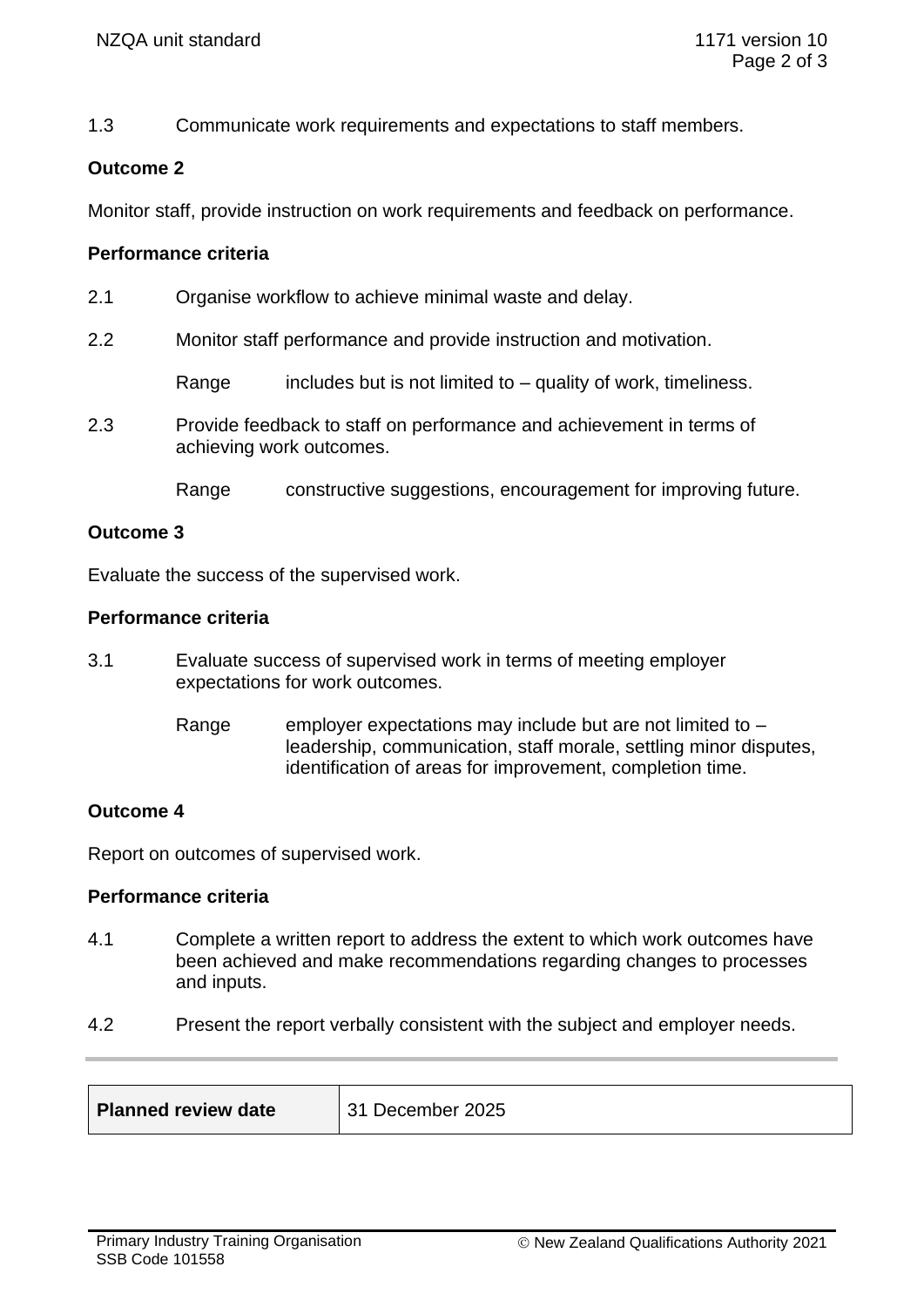1.3 Communicate work requirements and expectations to staff members.

# **Outcome 2**

Monitor staff, provide instruction on work requirements and feedback on performance.

## **Performance criteria**

- 2.1 Organise workflow to achieve minimal waste and delay.
- 2.2 Monitor staff performance and provide instruction and motivation.

Range includes but is not limited to  $-$  quality of work, timeliness.

- 2.3 Provide feedback to staff on performance and achievement in terms of achieving work outcomes.
	- Range constructive suggestions, encouragement for improving future.

### **Outcome 3**

Evaluate the success of the supervised work.

### **Performance criteria**

- 3.1 Evaluate success of supervised work in terms of meeting employer expectations for work outcomes.
	- Range employer expectations may include but are not limited to  $$ leadership, communication, staff morale, settling minor disputes, identification of areas for improvement, completion time.

## **Outcome 4**

Report on outcomes of supervised work.

## **Performance criteria**

- 4.1 Complete a written report to address the extent to which work outcomes have been achieved and make recommendations regarding changes to processes and inputs.
- 4.2 Present the report verbally consistent with the subject and employer needs.

| Planned review date | 31 December 2025 |
|---------------------|------------------|
|                     |                  |